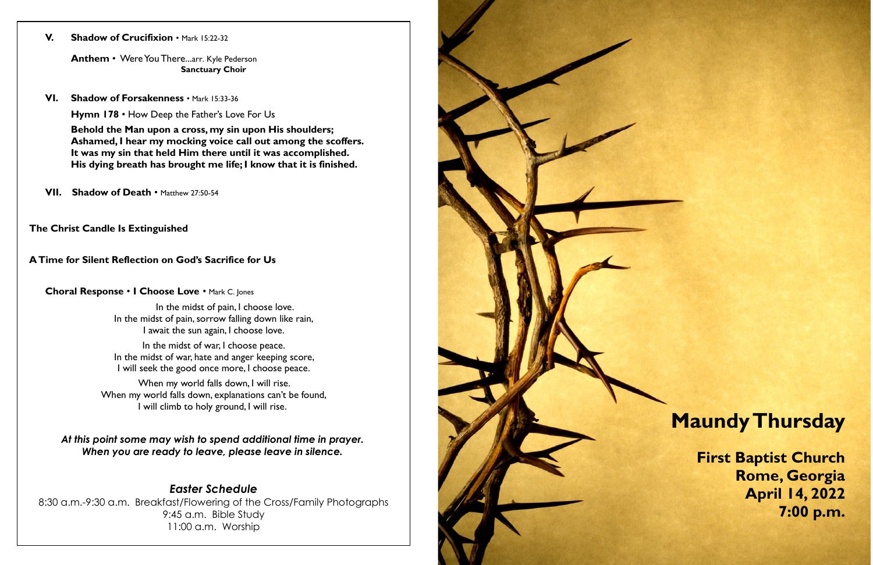### **V. Shadow of Crucifixion** • Mark 15:22-32

**Anthem** • Were You There...arr. Kyle Pederson **Sanctuary Choir**

**VI. Shadow of Forsakenness** • Mark 15:33-36

**Hymn 178** • How Deep the Father's Love For Us

**Behold the Man upon a cross, my sin upon His shoulders; Ashamed, I hear my mocking voice call out among the scoffers. It was my sin that held Him there until it was accomplished. His dying breath has brought me life; I know that it is finished.** 

**VII.** Shadow of Death • Matthew 27:50-54

In the midst of pain, I choose love. In the midst of pain, sorrow falling down like rain, I await the sun again, I choose love.

In the midst of war, I choose peace. In the midst of war, hate and anger keeping score, I will seek the good once more, I choose peace.

**The Christ Candle Is Extinguished** 

### **A Time for Silent Reflection on God's Sacrifice for Us**

### **Choral Response** • **I Choose Love** • Mark C. Jones

When my world falls down, I will rise. When my world falls down, explanations can't be found, I will climb to holy ground, I will rise.

*At this point some may wish to spend additional time in prayer. When you are ready to leave, please leave in silence.*

# *Easter Schedule*

8:30 a.m.-9:30 a.m. Breakfast/Flowering of the Cross/Family Photographs 9:45 a.m. Bible Study 11:00 a.m. Worship



# **Maundy Thursday**

**First Baptist Church Rome, Georgia April 14, 2022 7:00 p.m.**